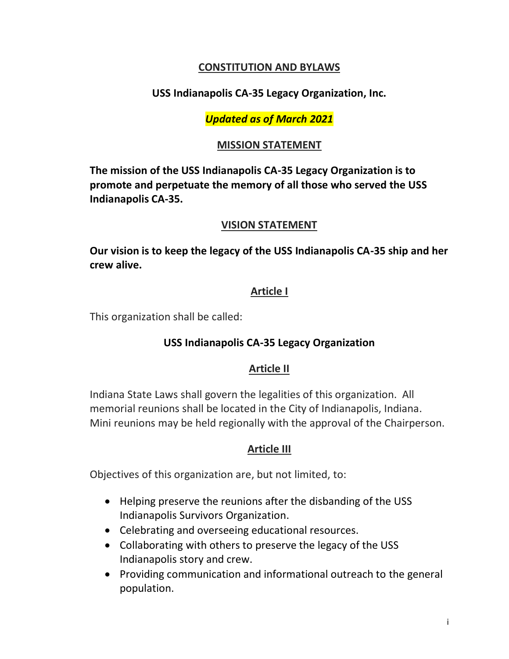## **CONSTITUTION AND BYLAWS**

## **USS Indianapolis CA-35 Legacy Organization, Inc.**

## *Updated as of March 2021*

#### **MISSION STATEMENT**

**The mission of the USS Indianapolis CA-35 Legacy Organization is to promote and perpetuate the memory of all those who served the USS Indianapolis CA-35.**

#### **VISION STATEMENT**

**Our vision is to keep the legacy of the USS Indianapolis CA-35 ship and her crew alive.**

## **Article I**

This organization shall be called:

## **USS Indianapolis CA-35 Legacy Organization**

## **Article II**

Indiana State Laws shall govern the legalities of this organization. All memorial reunions shall be located in the City of Indianapolis, Indiana. Mini reunions may be held regionally with the approval of the Chairperson.

## **Article III**

Objectives of this organization are, but not limited, to:

- Helping preserve the reunions after the disbanding of the USS Indianapolis Survivors Organization.
- Celebrating and overseeing educational resources.
- Collaborating with others to preserve the legacy of the USS Indianapolis story and crew.
- Providing communication and informational outreach to the general population.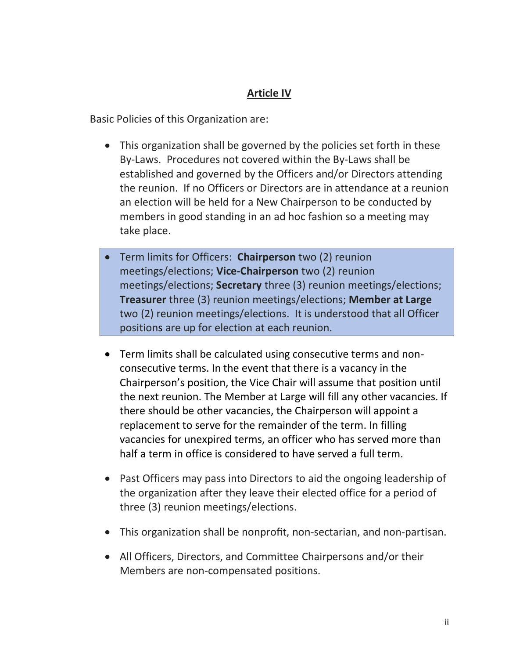# **Article IV**

Basic Policies of this Organization are:

- This organization shall be governed by the policies set forth in these By-Laws. Procedures not covered within the By-Laws shall be established and governed by the Officers and/or Directors attending the reunion. If no Officers or Directors are in attendance at a reunion an election will be held for a New Chairperson to be conducted by members in good standing in an ad hoc fashion so a meeting may take place.
- Term limits for Officers: **Chairperson** two (2) reunion meetings/elections; **Vice-Chairperson** two (2) reunion meetings/elections; **Secretary** three (3) reunion meetings/elections; **Treasurer** three (3) reunion meetings/elections; **Member at Large** two (2) reunion meetings/elections. It is understood that all Officer positions are up for election at each reunion.
- Term limits shall be calculated using consecutive terms and nonconsecutive terms. In the event that there is a vacancy in the Chairperson's position, the Vice Chair will assume that position until the next reunion. The Member at Large will fill any other vacancies. If there should be other vacancies, the Chairperson will appoint a replacement to serve for the remainder of the term. In filling vacancies for unexpired terms, an officer who has served more than half a term in office is considered to have served a full term.
- Past Officers may pass into Directors to aid the ongoing leadership of the organization after they leave their elected office for a period of three (3) reunion meetings/elections.
- This organization shall be nonprofit, non-sectarian, and non-partisan.
- All Officers, Directors, and Committee Chairpersons and/or their Members are non-compensated positions.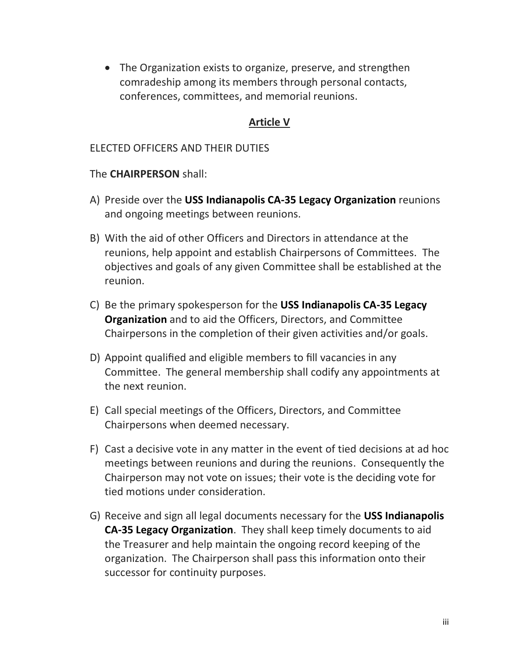• The Organization exists to organize, preserve, and strengthen comradeship among its members through personal contacts, conferences, committees, and memorial reunions.

# **Article V**

#### ELECTED OFFICERS AND THEIR DUTIES

#### The **CHAIRPERSON** shall:

- A) Preside over the **USS Indianapolis CA-35 Legacy Organization** reunions and ongoing meetings between reunions.
- B) With the aid of other Officers and Directors in attendance at the reunions, help appoint and establish Chairpersons of Committees. The objectives and goals of any given Committee shall be established at the reunion.
- C) Be the primary spokesperson for the **USS Indianapolis CA-35 Legacy Organization** and to aid the Officers, Directors, and Committee Chairpersons in the completion of their given activities and/or goals.
- D) Appoint qualified and eligible members to fill vacancies in any Committee. The general membership shall codify any appointments at the next reunion.
- E) Call special meetings of the Officers, Directors, and Committee Chairpersons when deemed necessary.
- F) Cast a decisive vote in any matter in the event of tied decisions at ad hoc meetings between reunions and during the reunions. Consequently the Chairperson may not vote on issues; their vote is the deciding vote for tied motions under consideration.
- G) Receive and sign all legal documents necessary for the **USS Indianapolis CA-35 Legacy Organization**. They shall keep timely documents to aid the Treasurer and help maintain the ongoing record keeping of the organization. The Chairperson shall pass this information onto their successor for continuity purposes.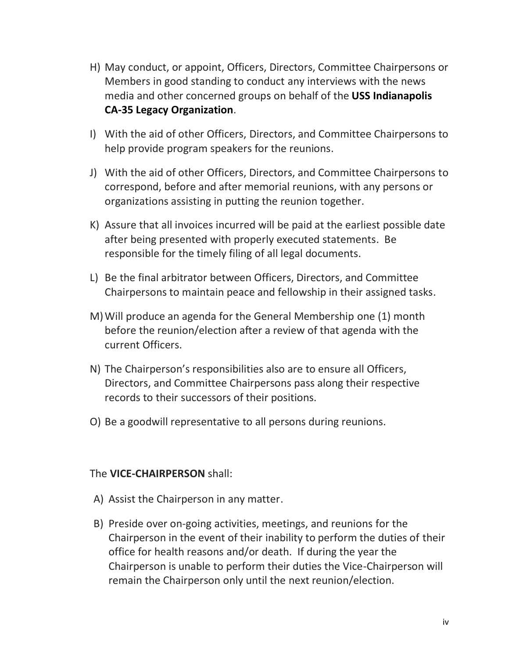- H) May conduct, or appoint, Officers, Directors, Committee Chairpersons or Members in good standing to conduct any interviews with the news media and other concerned groups on behalf of the **USS Indianapolis CA-35 Legacy Organization**.
- I) With the aid of other Officers, Directors, and Committee Chairpersons to help provide program speakers for the reunions.
- J) With the aid of other Officers, Directors, and Committee Chairpersons to correspond, before and after memorial reunions, with any persons or organizations assisting in putting the reunion together.
- K) Assure that all invoices incurred will be paid at the earliest possible date after being presented with properly executed statements. Be responsible for the timely filing of all legal documents.
- L) Be the final arbitrator between Officers, Directors, and Committee Chairpersons to maintain peace and fellowship in their assigned tasks.
- M)Will produce an agenda for the General Membership one (1) month before the reunion/election after a review of that agenda with the current Officers.
- N) The Chairperson's responsibilities also are to ensure all Officers, Directors, and Committee Chairpersons pass along their respective records to their successors of their positions.
- O) Be a goodwill representative to all persons during reunions.

#### The **VICE-CHAIRPERSON** shall:

- A) Assist the Chairperson in any matter.
- B) Preside over on-going activities, meetings, and reunions for the Chairperson in the event of their inability to perform the duties of their office for health reasons and/or death. If during the year the Chairperson is unable to perform their duties the Vice-Chairperson will remain the Chairperson only until the next reunion/election.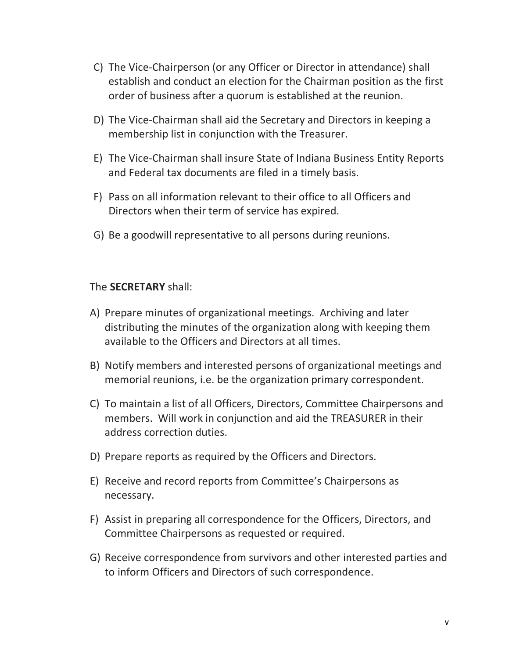- C) The Vice-Chairperson (or any Officer or Director in attendance) shall establish and conduct an election for the Chairman position as the first order of business after a quorum is established at the reunion.
- D) The Vice-Chairman shall aid the Secretary and Directors in keeping a membership list in conjunction with the Treasurer.
- E) The Vice-Chairman shall insure State of Indiana Business Entity Reports and Federal tax documents are filed in a timely basis.
- F) Pass on all information relevant to their office to all Officers and Directors when their term of service has expired.
- G) Be a goodwill representative to all persons during reunions.

#### The **SECRETARY** shall:

- A) Prepare minutes of organizational meetings. Archiving and later distributing the minutes of the organization along with keeping them available to the Officers and Directors at all times.
- B) Notify members and interested persons of organizational meetings and memorial reunions, i.e. be the organization primary correspondent.
- C) To maintain a list of all Officers, Directors, Committee Chairpersons and members. Will work in conjunction and aid the TREASURER in their address correction duties.
- D) Prepare reports as required by the Officers and Directors.
- E) Receive and record reports from Committee's Chairpersons as necessary.
- F) Assist in preparing all correspondence for the Officers, Directors, and Committee Chairpersons as requested or required.
- G) Receive correspondence from survivors and other interested parties and to inform Officers and Directors of such correspondence.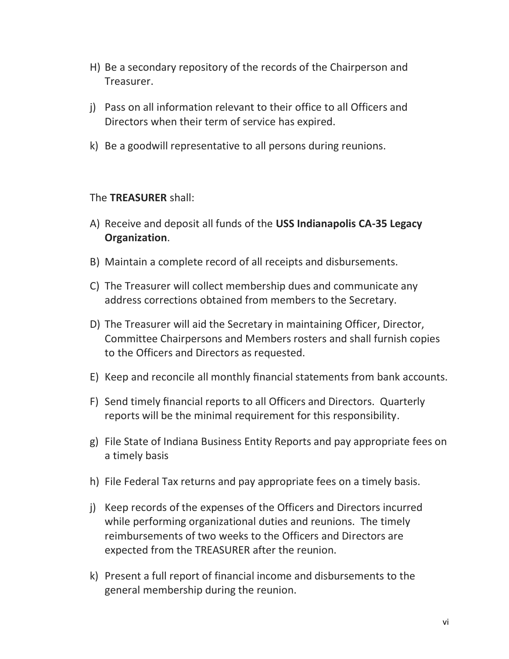- H) Be a secondary repository of the records of the Chairperson and Treasurer.
- j) Pass on all information relevant to their office to all Officers and Directors when their term of service has expired.
- k) Be a goodwill representative to all persons during reunions.

#### The **TREASURER** shall:

- A) Receive and deposit all funds of the **USS Indianapolis CA-35 Legacy Organization**.
- B) Maintain a complete record of all receipts and disbursements.
- C) The Treasurer will collect membership dues and communicate any address corrections obtained from members to the Secretary.
- D) The Treasurer will aid the Secretary in maintaining Officer, Director, Committee Chairpersons and Members rosters and shall furnish copies to the Officers and Directors as requested.
- E) Keep and reconcile all monthly financial statements from bank accounts.
- F) Send timely financial reports to all Officers and Directors. Quarterly reports will be the minimal requirement for this responsibility.
- g) File State of Indiana Business Entity Reports and pay appropriate fees on a timely basis
- h) File Federal Tax returns and pay appropriate fees on a timely basis.
- j) Keep records of the expenses of the Officers and Directors incurred while performing organizational duties and reunions. The timely reimbursements of two weeks to the Officers and Directors are expected from the TREASURER after the reunion.
- k) Present a full report of financial income and disbursements to the general membership during the reunion.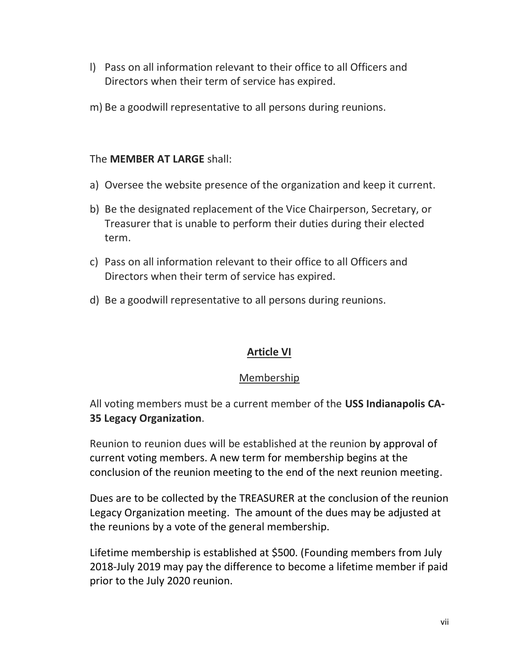- l) Pass on all information relevant to their office to all Officers and Directors when their term of service has expired.
- m) Be a goodwill representative to all persons during reunions.

# The **MEMBER AT LARGE** shall:

- a) Oversee the website presence of the organization and keep it current.
- b) Be the designated replacement of the Vice Chairperson, Secretary, or Treasurer that is unable to perform their duties during their elected term.
- c) Pass on all information relevant to their office to all Officers and Directors when their term of service has expired.
- d) Be a goodwill representative to all persons during reunions.

# **Article VI**

## Membership

All voting members must be a current member of the **USS Indianapolis CA-35 Legacy Organization**.

Reunion to reunion dues will be established at the reunion by approval of current voting members. A new term for membership begins at the conclusion of the reunion meeting to the end of the next reunion meeting.

Dues are to be collected by the TREASURER at the conclusion of the reunion Legacy Organization meeting. The amount of the dues may be adjusted at the reunions by a vote of the general membership.

Lifetime membership is established at \$500. (Founding members from July 2018-July 2019 may pay the difference to become a lifetime member if paid prior to the July 2020 reunion.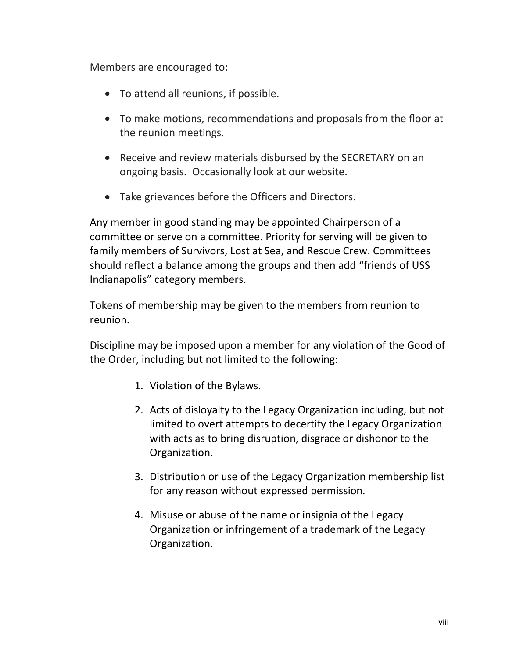Members are encouraged to:

- To attend all reunions, if possible.
- To make motions, recommendations and proposals from the floor at the reunion meetings.
- Receive and review materials disbursed by the SECRETARY on an ongoing basis. Occasionally look at our website.
- Take grievances before the Officers and Directors.

Any member in good standing may be appointed Chairperson of a committee or serve on a committee. Priority for serving will be given to family members of Survivors, Lost at Sea, and Rescue Crew. Committees should reflect a balance among the groups and then add "friends of USS Indianapolis" category members.

Tokens of membership may be given to the members from reunion to reunion.

Discipline may be imposed upon a member for any violation of the Good of the Order, including but not limited to the following:

- 1. Violation of the Bylaws.
- 2. Acts of disloyalty to the Legacy Organization including, but not limited to overt attempts to decertify the Legacy Organization with acts as to bring disruption, disgrace or dishonor to the Organization.
- 3. Distribution or use of the Legacy Organization membership list for any reason without expressed permission.
- 4. Misuse or abuse of the name or insignia of the Legacy Organization or infringement of a trademark of the Legacy Organization.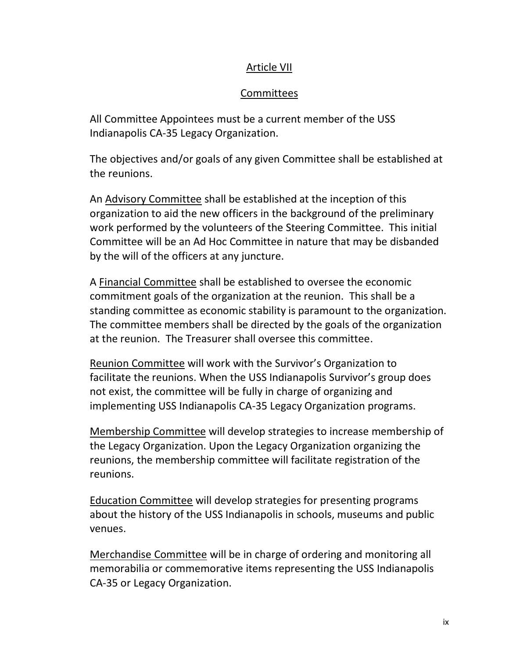## Article VII

# Committees

All Committee Appointees must be a current member of the USS Indianapolis CA-35 Legacy Organization.

The objectives and/or goals of any given Committee shall be established at the reunions.

An Advisory Committee shall be established at the inception of this organization to aid the new officers in the background of the preliminary work performed by the volunteers of the Steering Committee. This initial Committee will be an Ad Hoc Committee in nature that may be disbanded by the will of the officers at any juncture.

A Financial Committee shall be established to oversee the economic commitment goals of the organization at the reunion. This shall be a standing committee as economic stability is paramount to the organization. The committee members shall be directed by the goals of the organization at the reunion. The Treasurer shall oversee this committee.

Reunion Committee will work with the Survivor's Organization to facilitate the reunions. When the USS Indianapolis Survivor's group does not exist, the committee will be fully in charge of organizing and implementing USS Indianapolis CA-35 Legacy Organization programs.

Membership Committee will develop strategies to increase membership of the Legacy Organization. Upon the Legacy Organization organizing the reunions, the membership committee will facilitate registration of the reunions.

Education Committee will develop strategies for presenting programs about the history of the USS Indianapolis in schools, museums and public venues.

Merchandise Committee will be in charge of ordering and monitoring all memorabilia or commemorative items representing the USS Indianapolis CA-35 or Legacy Organization.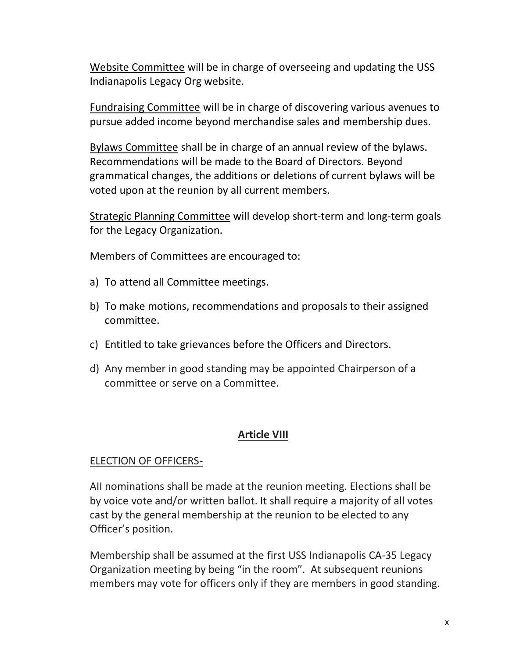Website Committee will be in charge of overseeing and updating the USS Indianapolis Legacy Org website.

Fundraising Committee will be in charge of discovering various avenues to pursue added income beyond merchandise sales and membership dues.

Bylaws Committee shall be in charge of an annual review of the bylaws. Recommendations will be made to the Board of Directors. Beyond grammatical changes, the additions or deletions of current bylaws will be voted upon at the reunion by all current members.

Strategic Planning Committee will develop short-term and long-term goals for the Legacy Organization.

Members of Committees are encouraged to:

- a) To attend all Committee meetings.
- b) To make motions, recommendations and proposals to their assigned committee.
- c) Entitled to take grievances before the Officers and Directors.
- d) Any member in good standing may be appointed Chairperson of a committee or serve on a Committee.

#### **Article VIII**

#### ELECTION OF OFFICERS-

AII nominations shall be made at the reunion meeting. Elections shall be by voice vote and/or written ballot. It shall require a majority of all votes cast by the general membership at the reunion to be elected to any Officer's position.

Membership shall be assumed at the first USS Indianapolis CA-35 Legacy Organization meeting by being "in the room". At subsequent reunions members may vote for officers only if they are members in good standing.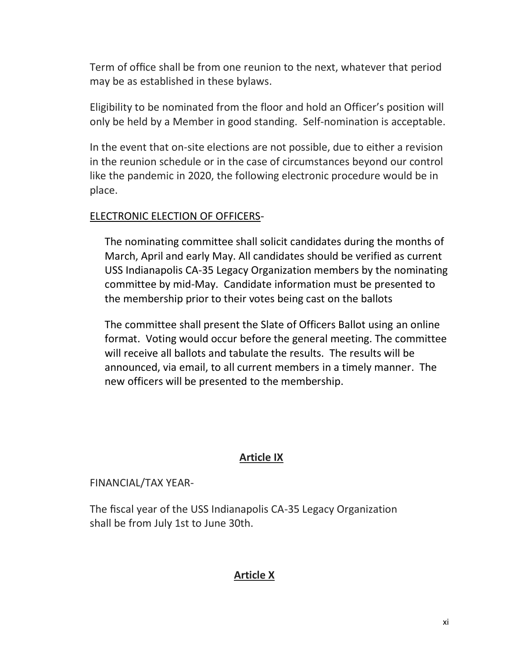Term of office shall be from one reunion to the next, whatever that period may be as established in these bylaws.

Eligibility to be nominated from the floor and hold an Officer's position will only be held by a Member in good standing. Self-nomination is acceptable.

In the event that on-site elections are not possible, due to either a revision in the reunion schedule or in the case of circumstances beyond our control like the pandemic in 2020, the following electronic procedure would be in place.

## ELECTRONIC ELECTION OF OFFICERS-

The nominating committee shall solicit candidates during the months of March, April and early May. All candidates should be verified as current USS Indianapolis CA-35 Legacy Organization members by the nominating committee by mid-May. Candidate information must be presented to the membership prior to their votes being cast on the ballots

The committee shall present the Slate of Officers Ballot using an online format. Voting would occur before the general meeting. The committee will receive all ballots and tabulate the results. The results will be announced, via email, to all current members in a timely manner. The new officers will be presented to the membership.

#### **Article IX**

#### FINANCIAL/TAX YEAR-

The fiscal year of the USS Indianapolis CA-35 Legacy Organization shall be from July 1st to June 30th.

## **Article X**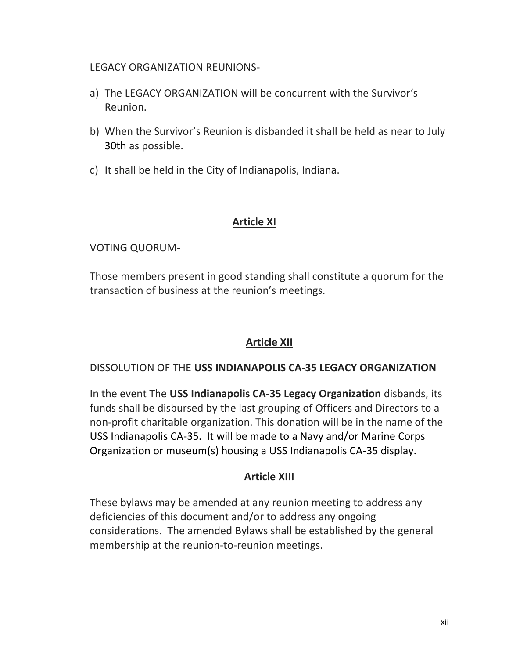#### LEGACY ORGANIZATION REUNIONS-

- a) The LEGACY ORGANIZATION will be concurrent with the Survivor's Reunion.
- b) When the Survivor's Reunion is disbanded it shall be held as near to July 30th as possible.
- c) It shall be held in the City of Indianapolis, Indiana.

# **Article XI**

# VOTING QUORUM-

Those members present in good standing shall constitute a quorum for the transaction of business at the reunion's meetings.

# **Article XII**

## DISSOLUTION OF THE **USS INDIANAPOLIS CA-35 LEGACY ORGANIZATION**

In the event The **USS Indianapolis CA-35 Legacy Organization** disbands, its funds shall be disbursed by the last grouping of Officers and Directors to a non-profit charitable organization. This donation will be in the name of the USS Indianapolis CA-35. It will be made to a Navy and/or Marine Corps Organization or museum(s) housing a USS Indianapolis CA-35 display.

# **Article XIII**

These bylaws may be amended at any reunion meeting to address any deficiencies of this document and/or to address any ongoing considerations. The amended Bylaws shall be established by the general membership at the reunion-to-reunion meetings.